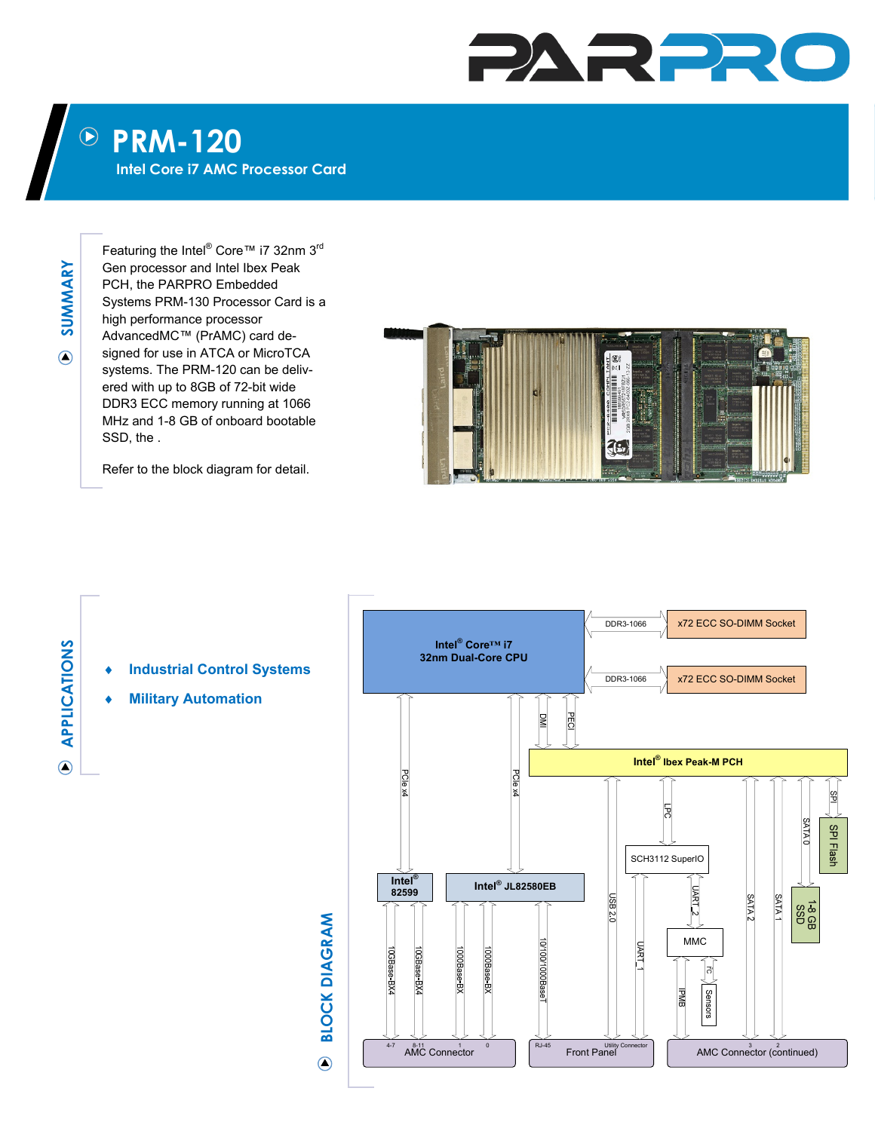## PARPR

## $\bigcirc$ **PRM-120**

**Intel Core i7 AMC Processor Card** 

**SUMMARY**  SUMMARY  $\odot$ 

Featuring the Intel® Core™ i7 32nm 3rd Gen processor and Intel Ibex Peak PCH, the PARPRO Embedded Systems PRM-130 Processor Card is a high performance processor AdvancedMC™ (PrAMC) card designed for use in ATCA or MicroTCA systems. The PRM-120 can be delivered with up to 8GB of 72-bit wide DDR3 ECC memory running at 1066 MHz and 1-8 GB of onboard bootable SSD, the .

Refer to the block diagram for detail.

**Military Automation** 



## **APPLICATIONS APPLICATIONS**

 $\odot$